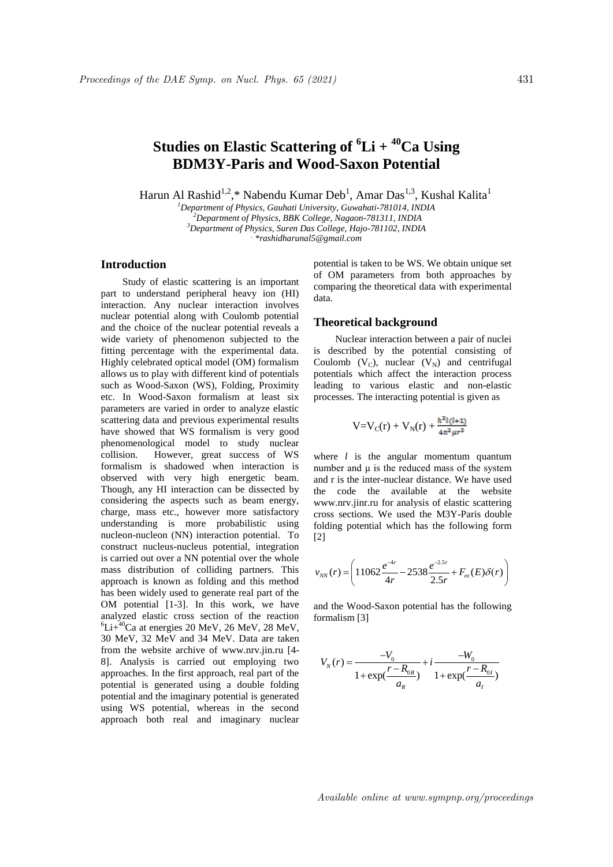# **Studies on Elastic Scattering of <sup>6</sup>Li + <sup>40</sup>Ca Using BDM3Y-Paris and Wood-Saxon Potential**

Harun Al Rashid<sup>1,2</sup>,\* Nabendu Kumar Deb<sup>1</sup>, Amar Das<sup>1,3</sup>, Kushal Kalita<sup>1</sup>

*Department of Physics, Gauhati University, Guwahati-781014, INDIA Department of Physics, BBK College, Nagaon-781311, INDIA Department of Physics, Suren Das College, Hajo-781102, INDIA . \*rashidharunal5@gmail.com*

# **Introduction**

Study of elastic scattering is an important part to understand peripheral heavy ion (HI) interaction. Any nuclear interaction involves nuclear potential along with Coulomb potential and the choice of the nuclear potential reveals a wide variety of phenomenon subjected to the fitting percentage with the experimental data. Highly celebrated optical model (OM) formalism allows us to play with different kind of potentials such as Wood-Saxon (WS), Folding, Proximity etc. In Wood-Saxon formalism at least six parameters are varied in order to analyze elastic scattering data and previous experimental results have showed that WS formalism is very good phenomenological model to study nuclear collision. However, great success of WS formalism is shadowed when interaction is observed with very high energetic beam. Though, any HI interaction can be dissected by considering the aspects such as beam energy, charge, mass etc., however more satisfactory understanding is more probabilistic using nucleon-nucleon (NN) interaction potential. To construct nucleus-nucleus potential, integration is carried out over a NN potential over the whole mass distribution of colliding partners. This approach is known as folding and this method has been widely used to generate real part of the OM potential [1-3]. In this work, we have analyzed elastic cross section of the reaction  ${}^{6}Li+{}^{40}Ca$  at energies 20 MeV, 26 MeV, 28 MeV, 30 MeV, 32 MeV and 34 MeV. Data are taken from the website archive of www.nrv.jin.ru [4- 8]. Analysis is carried out employing two approaches. In the first approach, real part of the potential is generated using a double folding potential and the imaginary potential is generated using WS potential, whereas in the second approach both real and imaginary nuclear

potential is taken to be WS. We obtain unique set of OM parameters from both approaches by comparing the theoretical data with experimental data.

#### **Theoretical background**

Nuclear interaction between a pair of nuclei is described by the potential consisting of Coulomb  $(V_C)$ , nuclear  $(V_N)$  and centrifugal potentials which affect the interaction process leading to various elastic and non-elastic processes. The interacting potential is given as

$$
V = V_C(r) + V_N(r) + \frac{\hbar^2 l(l+1)}{4\pi^2 \mu r^2}
$$

where *l* is the angular momentum quantum number and  $\mu$  is the reduced mass of the system and r is the inter-nuclear distance. We have used the code the available at the website www.nrv.jinr.ru for analysis of elastic scattering cross sections. We used the M3Y-Paris double folding potential which has the following form [2]

$$
v_{NN}(r) = \left(11062 \frac{e^{-4r}}{4r} - 2538 \frac{e^{-2.5r}}{2.5r} + F_{ex}(E)\delta(r)\right)
$$

and the Wood-Saxon potential has the following formalism [3]

$$
V_N(r) = \frac{-V_0}{1 + \exp(\frac{r - R_{0R}}{a_R})} + i \frac{-W_0}{1 + \exp(\frac{r - R_{0I}}{a_I})}
$$

Available online at www.sympnp.org/proceedings